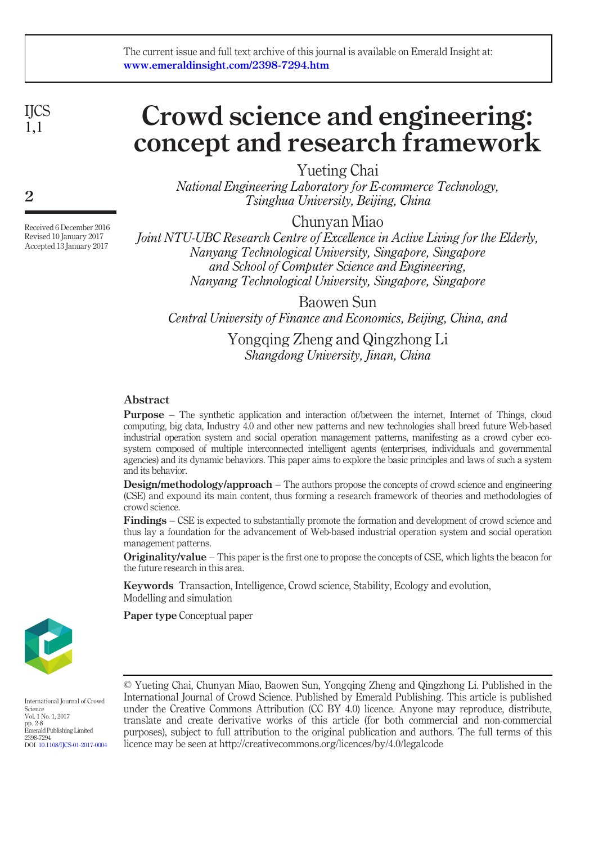IJCS 1,1

2

Received 6 December 2016 Revised 10 January 2017 Accepted 13 January 2017

# Crowd science and engineering: concept and research framework

Yueting Chai National Engineering Laboratory for E-commerce Technology, Tsinghua University, Beijing, China

Chunyan Miao

Joint NTU-UBC Research Centre of Excellence in Active Living for the Elderly, Nanyang Technological University, Singapore, Singapore and School of Computer Science and Engineering, Nanyang Technological University, Singapore, Singapore

Baowen Sun Central University of Finance and Economics, Beijing, China, and

> Yongqing Zheng and Qingzhong Li Shangdong University, Jinan, China

## Abstract

Purpose – The synthetic application and interaction of/between the internet, Internet of Things, cloud computing, big data, Industry 4.0 and other new patterns and new technologies shall breed future Web-based industrial operation system and social operation management patterns, manifesting as a crowd cyber ecosystem composed of multiple interconnected intelligent agents (enterprises, individuals and governmental agencies) and its dynamic behaviors. This paper aims to explore the basic principles and laws of such a system and its behavior.

**Design/methodology/approach** – The authors propose the concepts of crowd science and engineering (CSE) and expound its main content, thus forming a research framework of theories and methodologies of crowd science.

Findings – CSE is expected to substantially promote the formation and development of crowd science and thus lay a foundation for the advancement of Web-based industrial operation system and social operation management patterns.

Originality/value – This paper is the first one to propose the concepts of CSE, which lights the beacon for the future research in this area.

Keywords Transaction, Intelligence, Crowd science, Stability, Ecology and evolution, Modelling and simulation

Paper type Conceptual paper



International Journal of Crowd Science Vol. 1 No. 1, 2017 pp. 2-8 Emerald Publishing Limited 2398-7294 DOI [10.1108/IJCS-01-2017-0004](http://dx.doi.org/10.1108/IJCS-01-2017-0004) © Yueting Chai, Chunyan Miao, Baowen Sun, Yongqing Zheng and Qingzhong Li. Published in the International Journal of Crowd Science. Published by Emerald Publishing. This article is published under the Creative Commons Attribution (CC BY 4.0) licence. Anyone may reproduce, distribute, translate and create derivative works of this article (for both commercial and non-commercial purposes), subject to full attribution to the original publication and authors. The full terms of this licence may be seen at http://creativecommons.org/licences/by/4.0/legalcode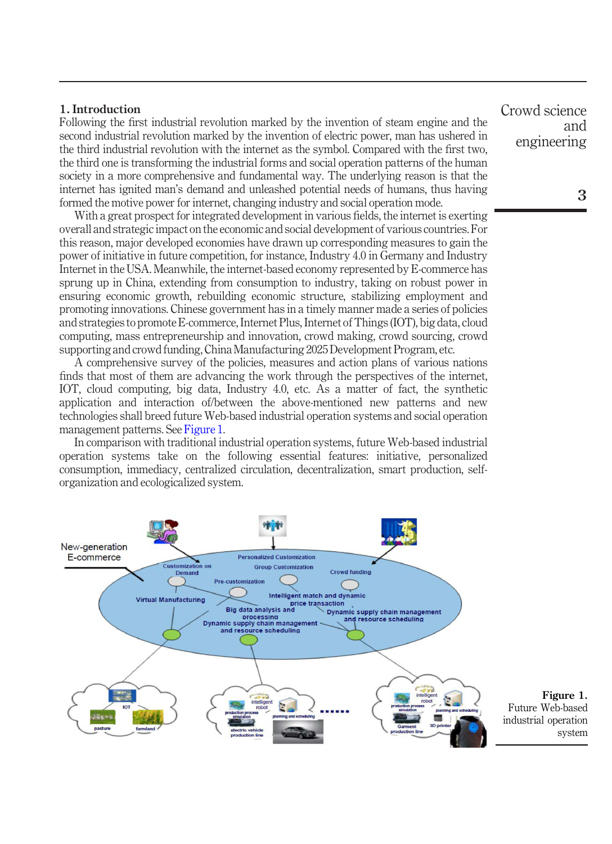## 1. Introduction

Following the first industrial revolution marked by the invention of steam engine and the second industrial revolution marked by the invention of electric power, man has ushered in the third industrial revolution with the internet as the symbol. Compared with the first two, the third one is transforming the industrial forms and social operation patterns of the human society in a more comprehensive and fundamental way. The underlying reason is that the internet has ignited man's demand and unleashed potential needs of humans, thus having formed the motive power for internet, changing industry and social operation mode.

With a great prospect for integrated development in various fields, the internet is exerting overall and strategic impact on the economic and social development of various countries. For this reason, major developed economies have drawn up corresponding measures to gain the power of initiative in future competition, for instance, Industry 4.0 in Germany and Industry Internet in the USA. Meanwhile, the internet-based economy represented by E-commerce has sprung up in China, extending from consumption to industry, taking on robust power in ensuring economic growth, rebuilding economic structure, stabilizing employment and promoting innovations. Chinese government has in a timely manner made a series of policies and strategies to promote E-commerce, Internet Plus, Internet of Things (IOT), big data, cloud computing, mass entrepreneurship and innovation, crowd making, crowd sourcing, crowd supporting and crowd funding, China Manufacturing 2025 Development Program, etc.

A comprehensive survey of the policies, measures and action plans of various nations finds that most of them are advancing the work through the perspectives of the internet, IOT, cloud computing, big data, Industry 4.0, etc. As a matter of fact, the synthetic application and interaction of/between the above-mentioned new patterns and new technologies shall breed future Web-based industrial operation systems and social operation management patterns. See [Figure 1.](#page-1-0)

In comparison with traditional industrial operation systems, future Web-based industrial operation systems take on the following essential features: initiative, personalized consumption, immediacy, centralized circulation, decentralization, smart production, selforganization and ecologicalized system.

<span id="page-1-0"></span>

Crowd science and engineering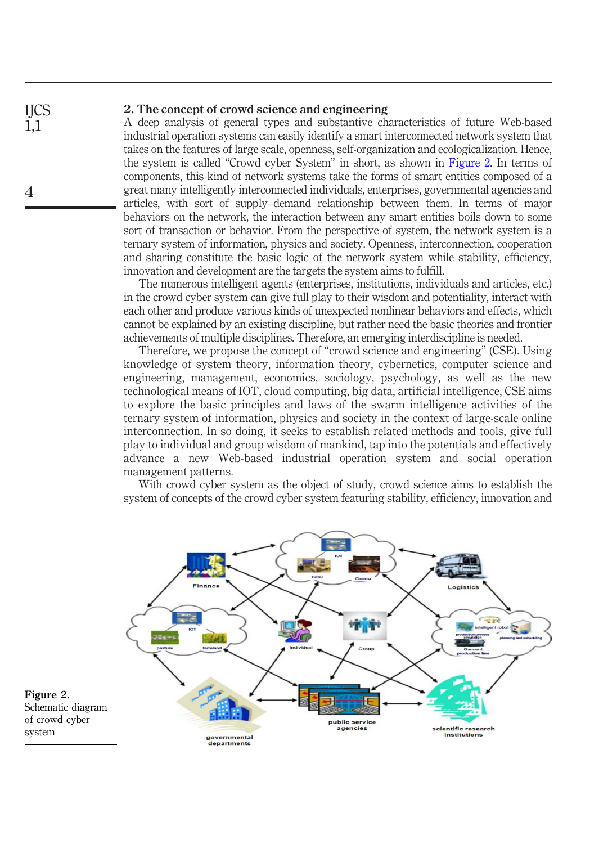## 2. The concept of crowd science and engineering

A deep analysis of general types and substantive characteristics of future Web-based industrial operation systems can easily identify a smart interconnected network system that takes on the features of large scale, openness, self-organization and ecologicalization. Hence, the system is called "Crowd cyber System" in short, as shown in [Figure 2](#page-2-0). In terms of components, this kind of network systems take the forms of smart entities composed of a great many intelligently interconnected individuals, enterprises, governmental agencies and articles, with sort of supply–demand relationship between them. In terms of major behaviors on the network, the interaction between any smart entities boils down to some sort of transaction or behavior. From the perspective of system, the network system is a ternary system of information, physics and society. Openness, interconnection, cooperation and sharing constitute the basic logic of the network system while stability, efficiency, innovation and development are the targets the system aims to fulfill.

The numerous intelligent agents (enterprises, institutions, individuals and articles, etc.) in the crowd cyber system can give full play to their wisdom and potentiality, interact with each other and produce various kinds of unexpected nonlinear behaviors and effects, which cannot be explained by an existing discipline, but rather need the basic theories and frontier achievements of multiple disciplines. Therefore, an emerging interdiscipline is needed.

Therefore, we propose the concept of "crowd science and engineering" (CSE). Using knowledge of system theory, information theory, cybernetics, computer science and engineering, management, economics, sociology, psychology, as well as the new technological means of IOT, cloud computing, big data, artificial intelligence, CSE aims to explore the basic principles and laws of the swarm intelligence activities of the ternary system of information, physics and society in the context of large-scale online interconnection. In so doing, it seeks to establish related methods and tools, give full play to individual and group wisdom of mankind, tap into the potentials and effectively advance a new Web-based industrial operation system and social operation management patterns.

With crowd cyber system as the object of study, crowd science aims to establish the system of concepts of the crowd cyber system featuring stability, efficiency, innovation and



<span id="page-2-0"></span>Figure 2. Schematic diagram of crowd cyber system

IJCS  $1<sub>1</sub>$ 

4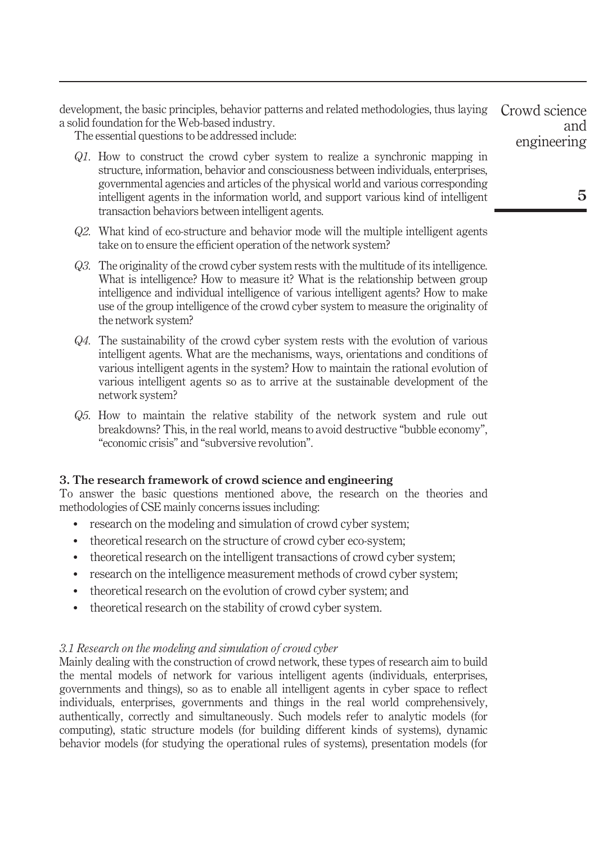development, the basic principles, behavior patterns and related methodologies, thus laying a solid foundation for the Web-based industry.

The essential questions to be addressed include:

- Q1. How to construct the crowd cyber system to realize a synchronic mapping in structure, information, behavior and consciousness between individuals, enterprises, governmental agencies and articles of the physical world and various corresponding intelligent agents in the information world, and support various kind of intelligent transaction behaviors between intelligent agents.
- Q2. What kind of eco-structure and behavior mode will the multiple intelligent agents take on to ensure the efficient operation of the network system?
- Q3. The originality of the crowd cyber system rests with the multitude of its intelligence. What is intelligence? How to measure it? What is the relationship between group intelligence and individual intelligence of various intelligent agents? How to make use of the group intelligence of the crowd cyber system to measure the originality of the network system?
- Q4. The sustainability of the crowd cyber system rests with the evolution of various intelligent agents. What are the mechanisms, ways, orientations and conditions of various intelligent agents in the system? How to maintain the rational evolution of various intelligent agents so as to arrive at the sustainable development of the network system?
- Q5. How to maintain the relative stability of the network system and rule out breakdowns? This, in the real world, means to avoid destructive "bubble economy", "economic crisis" and "subversive revolution".

## 3. The research framework of crowd science and engineering

To answer the basic questions mentioned above, the research on the theories and methodologies of CSE mainly concerns issues including:

- research on the modeling and simulation of crowd cyber system;
- theoretical research on the structure of crowd cyber eco-system;
- theoretical research on the intelligent transactions of crowd cyber system;
- research on the intelligence measurement methods of crowd cyber system;
- theoretical research on the evolution of crowd cyber system; and
- theoretical research on the stability of crowd cyber system.

## 3.1 Research on the modeling and simulation of crowd cyber

Mainly dealing with the construction of crowd network, these types of research aim to build the mental models of network for various intelligent agents (individuals, enterprises, governments and things), so as to enable all intelligent agents in cyber space to reflect individuals, enterprises, governments and things in the real world comprehensively, authentically, correctly and simultaneously. Such models refer to analytic models (for computing), static structure models (for building different kinds of systems), dynamic behavior models (for studying the operational rules of systems), presentation models (for

Crowd science and engineering

5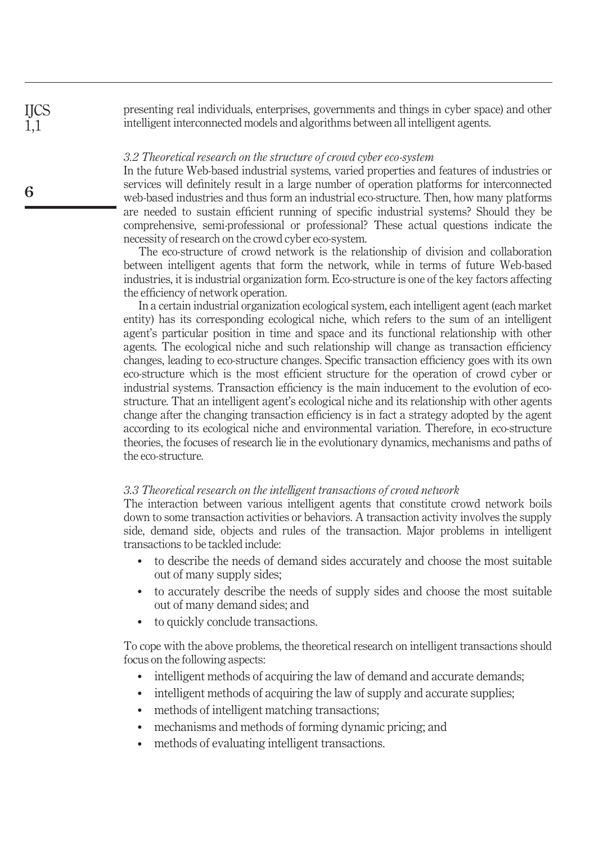presenting real individuals, enterprises, governments and things in cyber space) and other intelligent interconnected models and algorithms between all intelligent agents.

#### 3.2 Theoretical research on the structure of crowd cyber eco-system

In the future Web-based industrial systems, varied properties and features of industries or services will definitely result in a large number of operation platforms for interconnected web-based industries and thus form an industrial eco-structure. Then, how many platforms are needed to sustain efficient running of specific industrial systems? Should they be comprehensive, semi-professional or professional? These actual questions indicate the necessity of research on the crowd cyber eco-system.

The eco-structure of crowd network is the relationship of division and collaboration between intelligent agents that form the network, while in terms of future Web-based industries, it is industrial organization form. Eco-structure is one of the key factors affecting the efficiency of network operation.

In a certain industrial organization ecological system, each intelligent agent (each market entity) has its corresponding ecological niche, which refers to the sum of an intelligent agent's particular position in time and space and its functional relationship with other agents. The ecological niche and such relationship will change as transaction efficiency changes, leading to eco-structure changes. Specific transaction efficiency goes with its own eco-structure which is the most efficient structure for the operation of crowd cyber or industrial systems. Transaction efficiency is the main inducement to the evolution of ecostructure. That an intelligent agent's ecological niche and its relationship with other agents change after the changing transaction efficiency is in fact a strategy adopted by the agent according to its ecological niche and environmental variation. Therefore, in eco-structure theories, the focuses of research lie in the evolutionary dynamics, mechanisms and paths of the eco-structure.

#### 3.3 Theoretical research on the intelligent transactions of crowd network

The interaction between various intelligent agents that constitute crowd network boils down to some transaction activities or behaviors. A transaction activity involves the supply side, demand side, objects and rules of the transaction. Major problems in intelligent transactions to be tackled include:

- to describe the needs of demand sides accurately and choose the most suitable out of many supply sides;
- to accurately describe the needs of supply sides and choose the most suitable out of many demand sides; and
- to quickly conclude transactions.

To cope with the above problems, the theoretical research on intelligent transactions should focus on the following aspects:

- intelligent methods of acquiring the law of demand and accurate demands;
- intelligent methods of acquiring the law of supply and accurate supplies;
- methods of intelligent matching transactions;
- mechanisms and methods of forming dynamic pricing; and
- methods of evaluating intelligent transactions.

IJCS 1,1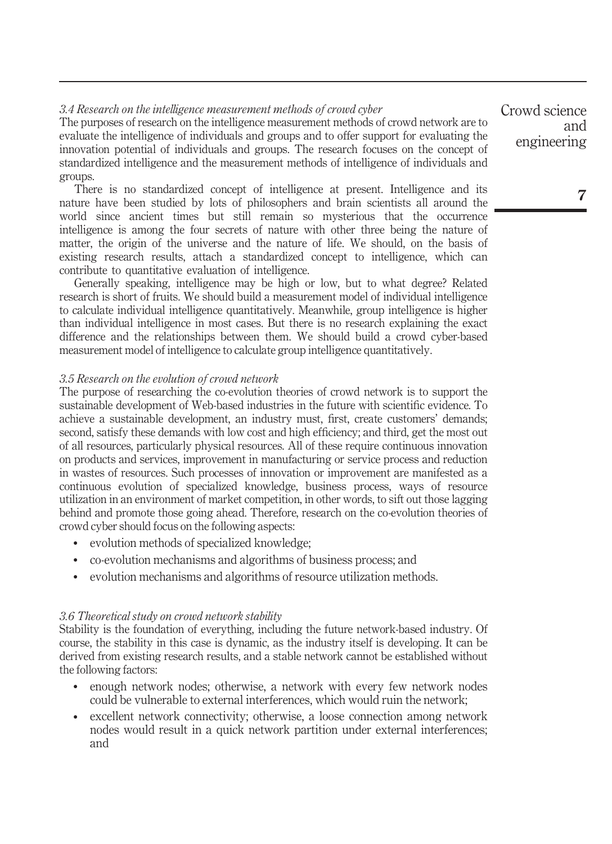## 3.4 Research on the intelligence measurement methods of crowd cyber

The purposes of research on the intelligence measurement methods of crowd network are to evaluate the intelligence of individuals and groups and to offer support for evaluating the innovation potential of individuals and groups. The research focuses on the concept of standardized intelligence and the measurement methods of intelligence of individuals and groups.

There is no standardized concept of intelligence at present. Intelligence and its nature have been studied by lots of philosophers and brain scientists all around the world since ancient times but still remain so mysterious that the occurrence intelligence is among the four secrets of nature with other three being the nature of matter, the origin of the universe and the nature of life. We should, on the basis of existing research results, attach a standardized concept to intelligence, which can contribute to quantitative evaluation of intelligence.

Generally speaking, intelligence may be high or low, but to what degree? Related research is short of fruits. We should build a measurement model of individual intelligence to calculate individual intelligence quantitatively. Meanwhile, group intelligence is higher than individual intelligence in most cases. But there is no research explaining the exact difference and the relationships between them. We should build a crowd cyber-based measurement model of intelligence to calculate group intelligence quantitatively.

#### 3.5 Research on the evolution of crowd network

The purpose of researching the co-evolution theories of crowd network is to support the sustainable development of Web-based industries in the future with scientific evidence. To achieve a sustainable development, an industry must, first, create customers' demands; second, satisfy these demands with low cost and high efficiency; and third, get the most out of all resources, particularly physical resources. All of these require continuous innovation on products and services, improvement in manufacturing or service process and reduction in wastes of resources. Such processes of innovation or improvement are manifested as a continuous evolution of specialized knowledge, business process, ways of resource utilization in an environment of market competition, in other words, to sift out those lagging behind and promote those going ahead. Therefore, research on the co-evolution theories of crowd cyber should focus on the following aspects:

- evolution methods of specialized knowledge;
- co-evolution mechanisms and algorithms of business process; and
- evolution mechanisms and algorithms of resource utilization methods.

## 3.6 Theoretical study on crowd network stability

Stability is the foundation of everything, including the future network-based industry. Of course, the stability in this case is dynamic, as the industry itself is developing. It can be derived from existing research results, and a stable network cannot be established without the following factors:

- enough network nodes; otherwise, a network with every few network nodes could be vulnerable to external interferences, which would ruin the network;
- excellent network connectivity; otherwise, a loose connection among network nodes would result in a quick network partition under external interferences; and

Crowd science and engineering

7